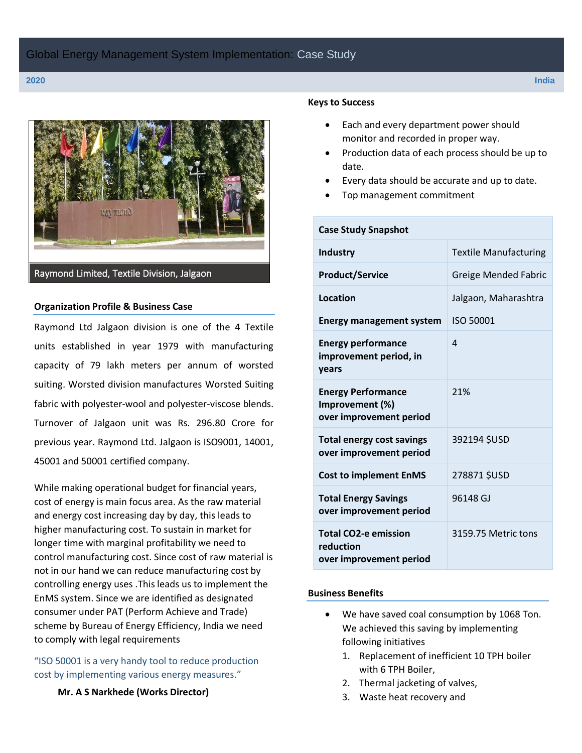

#### **Organization Profile & Business Case**

Raymond Ltd Jalgaon division is one of the 4 Textile units established in year 1979 with manufacturing capacity of 79 lakh meters per annum of worsted suiting. Worsted division manufactures Worsted Suiting fabric with polyester-wool and polyester-viscose blends. Turnover of Jalgaon unit was Rs. 296.80 Crore for previous year. Raymond Ltd. Jalgaon is ISO9001, 14001, 45001 and 50001 certified company.

While making operational budget for financial years, cost of energy is main focus area. As the raw material and energy cost increasing day by day, this leads to higher manufacturing cost. To sustain in market for longer time with marginal profitability we need to control manufacturing cost. Since cost of raw material is not in our hand we can reduce manufacturing cost by controlling energy uses .This leads us to implement the EnMS system. Since we are identified as designated consumer under PAT (Perform Achieve and Trade) scheme by Bureau of Energy Efficiency, India we need to comply with legal requirements

"ISO 50001 is a very handy tool to reduce production cost by implementing various energy measures."

### **Mr. A S Narkhede (Works Director)**

#### **Keys to Success**

- Each and every department power should monitor and recorded in proper way.
- Production data of each process should be up to date.
- Every data should be accurate and up to date.
- Top management commitment

| <b>Case Study Snapshot</b>                                              |                              |
|-------------------------------------------------------------------------|------------------------------|
| <b>Industry</b>                                                         | <b>Textile Manufacturing</b> |
| <b>Product/Service</b>                                                  | <b>Greige Mended Fabric</b>  |
| Location                                                                | Jalgaon, Maharashtra         |
| <b>Energy management system</b>                                         | ISO 50001                    |
| <b>Energy performance</b><br>improvement period, in<br>years            | 4                            |
| <b>Energy Performance</b><br>Improvement (%)<br>over improvement period | 21%                          |
| <b>Total energy cost savings</b><br>over improvement period             | 392194 \$USD                 |
| <b>Cost to implement EnMS</b>                                           | 278871 \$USD                 |
| <b>Total Energy Savings</b><br>over improvement period                  | 96148 GJ                     |
| <b>Total CO2-e emission</b><br>reduction<br>over improvement period     | 3159.75 Metric tons          |

#### **Business Benefits**

- We have saved coal consumption by 1068 Ton. We achieved this saving by implementing following initiatives
	- 1. Replacement of inefficient 10 TPH boiler with 6 TPH Boiler,
	- 2. Thermal jacketing of valves,
	- 3. Waste heat recovery and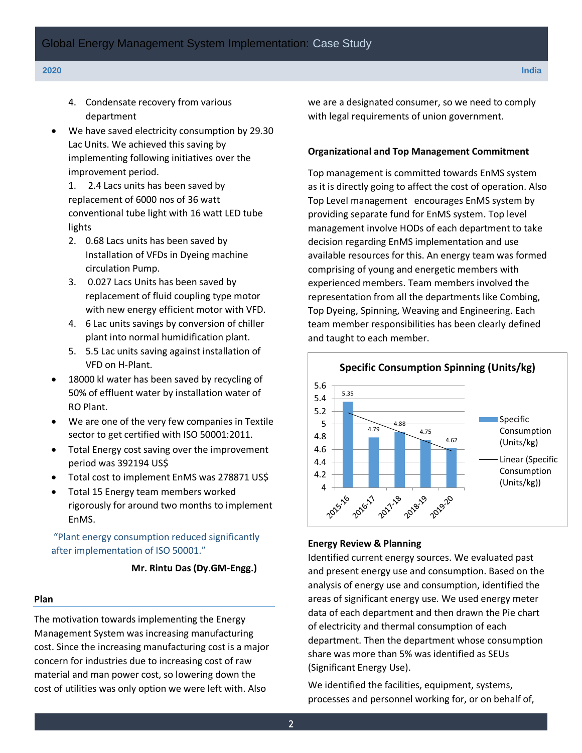- 4. Condensate recovery from various department
- We have saved electricity consumption by 29.30 Lac Units. We achieved this saving by implementing following initiatives over the improvement period.

1. 2.4 Lacs units has been saved by replacement of 6000 nos of 36 watt conventional tube light with 16 watt LED tube lights

- 2. 0.68 Lacs units has been saved by Installation of VFDs in Dyeing machine circulation Pump.
- 3. 0.027 Lacs Units has been saved by replacement of fluid coupling type motor with new energy efficient motor with VFD.
- 4. 6 Lac units savings by conversion of chiller plant into normal humidification plant.
- 5. 5.5 Lac units saving against installation of VFD on H-Plant.
- 18000 kl water has been saved by recycling of 50% of effluent water by installation water of RO Plant.
- We are one of the very few companies in Textile sector to get certified with ISO 50001:2011.
- Total Energy cost saving over the improvement period was 392194 US\$
- Total cost to implement EnMS was 278871 US\$
- Total 15 Energy team members worked rigorously for around two months to implement EnMS.

"Plant energy consumption reduced significantly after implementation of ISO 50001."

#### **Mr. Rintu Das (Dy.GM-Engg.)**

#### **Plan**

The motivation towards implementing the Energy Management System was increasing manufacturing cost. Since the increasing manufacturing cost is a major concern for industries due to increasing cost of raw material and man power cost, so lowering down the cost of utilities was only option we were left with. Also

we are a designated consumer, so we need to comply with legal requirements of union government.

#### **Organizational and Top Management Commitment**

Top management is committed towards EnMS system as it is directly going to affect the cost of operation. Also Top Level management encourages EnMS system by providing separate fund for EnMS system. Top level management involve HODs of each department to take decision regarding EnMS implementation and use available resources for this. An energy team was formed comprising of young and energetic members with experienced members. Team members involved the representation from all the departments like Combing, Top Dyeing, Spinning, Weaving and Engineering. Each team member responsibilities has been clearly defined and taught to each member.



#### **Energy Review & Planning**

Identified current energy sources. We evaluated past and present energy use and consumption. Based on the analysis of energy use and consumption, identified the areas of significant energy use. We used energy meter data of each department and then drawn the Pie chart of electricity and thermal consumption of each department. Then the department whose consumption share was more than 5% was identified as SEUs (Significant Energy Use).

We identified the facilities, equipment, systems, processes and personnel working for, or on behalf of,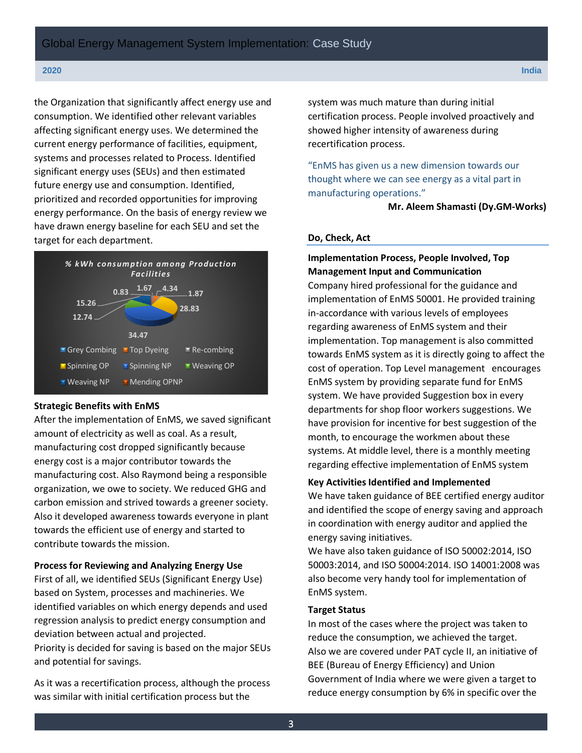the Organization that significantly affect energy use and consumption. We identified other relevant variables affecting significant energy uses. We determined the current energy performance of facilities, equipment, systems and processes related to Process. Identified significant energy uses (SEUs) and then estimated future energy use and consumption. Identified, prioritized and recorded opportunities for improving energy performance. On the basis of energy review we have drawn energy baseline for each SEU and set the target for each department.



#### **Strategic Benefits with EnMS**

After the implementation of EnMS, we saved significant amount of electricity as well as coal. As a result, manufacturing cost dropped significantly because energy cost is a major contributor towards the manufacturing cost. Also Raymond being a responsible organization, we owe to society. We reduced GHG and carbon emission and strived towards a greener society. Also it developed awareness towards everyone in plant towards the efficient use of energy and started to contribute towards the mission.

#### **Process for Reviewing and Analyzing Energy Use**

First of all, we identified SEUs (Significant Energy Use) based on System, processes and machineries. We identified variables on which energy depends and used regression analysis to predict energy consumption and deviation between actual and projected.

Priority is decided for saving is based on the major SEUs and potential for savings.

As it was a recertification process, although the process was similar with initial certification process but the

system was much mature than during initial certification process. People involved proactively and showed higher intensity of awareness during recertification process.

"EnMS has given us a new dimension towards our thought where we can see energy as a vital part in manufacturing operations."

 **Mr. Aleem Shamasti (Dy.GM-Works)**

#### **Do, Check, Act**

## **Implementation Process, People Involved, Top Management Input and Communication**

Company hired professional for the guidance and implementation of EnMS 50001. He provided training in-accordance with various levels of employees regarding awareness of EnMS system and their implementation. Top management is also committed towards EnMS system as it is directly going to affect the cost of operation. Top Level management encourages EnMS system by providing separate fund for EnMS system. We have provided Suggestion box in every departments for shop floor workers suggestions. We have provision for incentive for best suggestion of the month, to encourage the workmen about these systems. At middle level, there is a monthly meeting regarding effective implementation of EnMS system

#### **Key Activities Identified and Implemented**

We have taken guidance of BEE certified energy auditor and identified the scope of energy saving and approach in coordination with energy auditor and applied the energy saving initiatives.

We have also taken guidance of ISO 50002:2014, ISO 50003:2014, and ISO 50004:2014. ISO 14001:2008 was also become very handy tool for implementation of EnMS system.

#### **Target Status**

In most of the cases where the project was taken to reduce the consumption, we achieved the target. Also we are covered under PAT cycle II, an initiative of BEE (Bureau of Energy Efficiency) and Union Government of India where we were given a target to reduce energy consumption by 6% in specific over the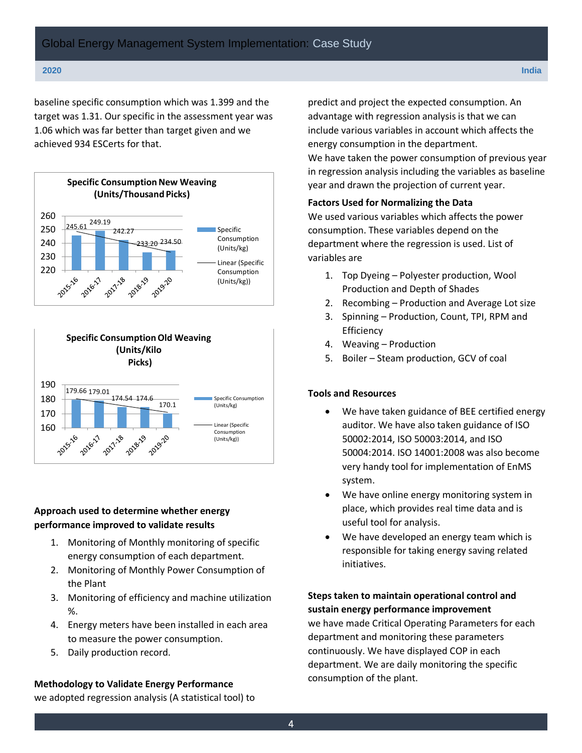baseline specific consumption which was 1.399 and the target was 1.31. Our specific in the assessment year was 1.06 which was far better than target given and we achieved 934 ESCerts for that.





## **Approach used to determine whether energy performance improved to validate results**

- 1. Monitoring of Monthly monitoring of specific energy consumption of each department.
- 2. Monitoring of Monthly Power Consumption of the Plant
- 3. Monitoring of efficiency and machine utilization %.
- 4. Energy meters have been installed in each area to measure the power consumption.
- 5. Daily production record.

## **Methodology to Validate Energy Performance**

we adopted regression analysis (A statistical tool) to

predict and project the expected consumption. An advantage with regression analysis is that we can include various variables in account which affects the energy consumption in the department. We have taken the power consumption of previous year in regression analysis including the variables as baseline year and drawn the projection of current year.

## **Factors Used for Normalizing the Data**

We used various variables which affects the power consumption. These variables depend on the department where the regression is used. List of variables are

- 1. Top Dyeing Polyester production, Wool Production and Depth of Shades
- 2. Recombing Production and Average Lot size
- 3. Spinning Production, Count, TPI, RPM and Efficiency
- 4. Weaving Production
- 5. Boiler Steam production, GCV of coal

## **Tools and Resources**

- We have taken guidance of BEE certified energy auditor. We have also taken guidance of ISO 50002:2014, ISO 50003:2014, and ISO 50004:2014. ISO 14001:2008 was also become very handy tool for implementation of EnMS system.
- We have online energy monitoring system in place, which provides real time data and is useful tool for analysis.
- We have developed an energy team which is responsible for taking energy saving related initiatives.

**Steps taken to maintain operational control and sustain energy performance improvement** we have made Critical Operating Parameters for each

department and monitoring these parameters continuously. We have displayed COP in each department. We are daily monitoring the specific consumption of the plant.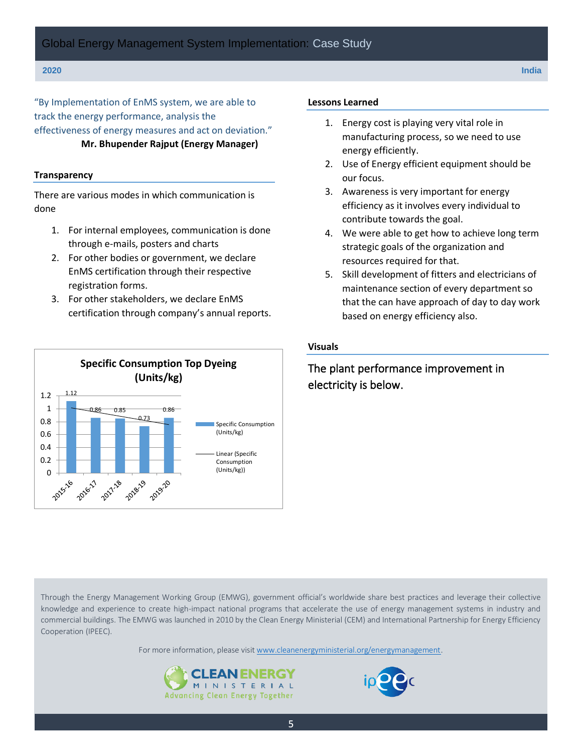"By Implementation of EnMS system, we are able to track the energy performance, analysis the effectiveness of energy measures and act on deviation." **Mr. Bhupender Rajput (Energy Manager)**

#### **Transparency**

There are various modes in which communication is done

- 1. For internal employees, communication is done through e-mails, posters and charts
- 2. For other bodies or government, we declare EnMS certification through their respective registration forms.
- 3. For other stakeholders, we declare EnMS certification through company's annual reports.



#### **Lessons Learned**

- 1. Energy cost is playing very vital role in manufacturing process, so we need to use energy efficiently.
- 2. Use of Energy efficient equipment should be our focus.
- 3. Awareness is very important for energy efficiency as it involves every individual to contribute towards the goal.
- 4. We were able to get how to achieve long term strategic goals of the organization and resources required for that.
- 5. Skill development of fitters and electricians of maintenance section of every department so that the can have approach of day to day work based on energy efficiency also.

#### **Visuals**

## The plant performance improvement in electricity is below.

Through the Energy Management Working Group (EMWG), government official's worldwide share best practices and leverage their collective knowledge and experience to create high-impact national programs that accelerate the use of energy management systems in industry and commercial buildings. The EMWG was launched in 2010 by the Clean Energy Ministerial (CEM) and International Partnership for Energy Efficiency Cooperation (IPEEC).

For more information, please visit [www.cleanenergyministerial.org/energymanagement.](http://www.cleanenergyministerial.org/energymanagement)